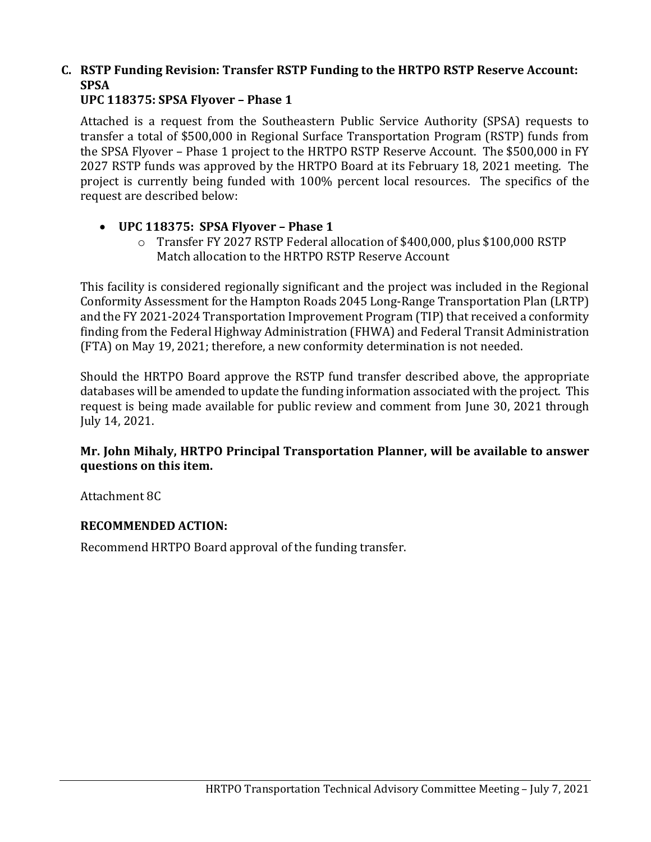## **C. RSTP Funding Revision: Transfer RSTP Funding to the HRTPO RSTP Reserve Account: SPSA**

#### **UPC 118375: SPSA Flyover – Phase 1**

Attached is a request from the Southeastern Public Service Authority (SPSA) requests to transfer a total of \$500,000 in Regional Surface Transportation Program (RSTP) funds from the SPSA Flyover – Phase 1 project to the HRTPO RSTP Reserve Account. The \$500,000 in FY 2027 RSTP funds was approved by the HRTPO Board at its February 18, 2021 meeting. The project is currently being funded with 100% percent local resources. The specifics of the request are described below:

#### • **UPC 118375: SPSA Flyover – Phase 1**

o Transfer FY 2027 RSTP Federal allocation of \$400,000, plus \$100,000 RSTP Match allocation to the HRTPO RSTP Reserve Account

This facility is considered regionally significant and the project was included in the Regional Conformity Assessment for the Hampton Roads 2045 Long-Range Transportation Plan (LRTP) and the FY 2021-2024 Transportation Improvement Program (TIP) that received a conformity finding from the Federal Highway Administration (FHWA) and Federal Transit Administration (FTA) on May 19, 2021; therefore, a new conformity determination is not needed.

Should the HRTPO Board approve the RSTP fund transfer described above, the appropriate databases will be amended to update the funding information associated with the project. This request is being made available for public review and comment from June 30, 2021 through July 14, 2021.

#### **Mr. John Mihaly, HRTPO Principal Transportation Planner, will be available to answer questions on this item.**

Attachment 8C

### **RECOMMENDED ACTION:**

Recommend HRTPO Board approval of the funding transfer.